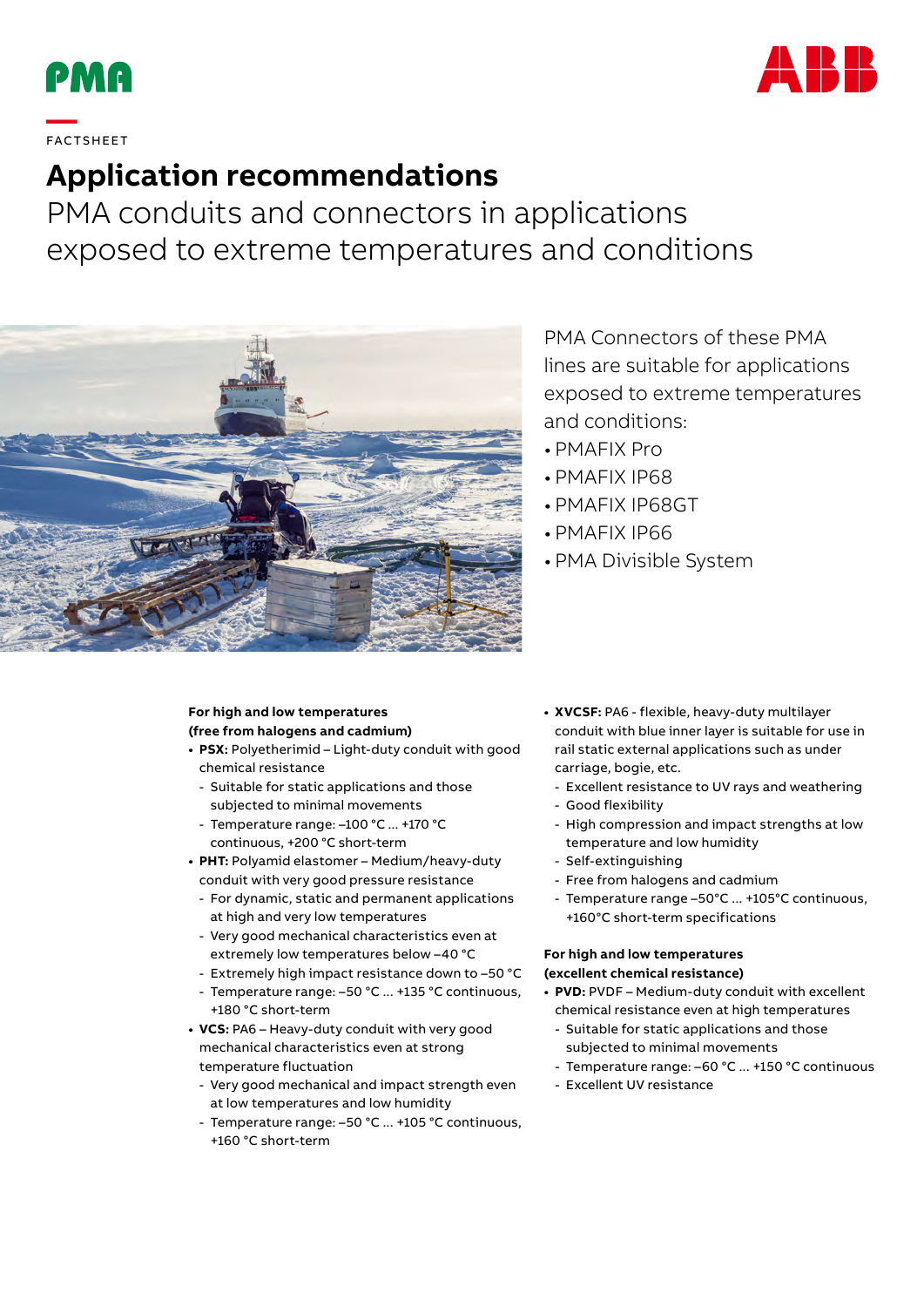



## **—**  FAC TS H EE T

## **Application recommendations**

PMA conduits and connectors in applications exposed to extreme temperatures and conditions



PMA Connectors of these PMA lines are suitable for applications exposed to extreme temperatures and conditions:

- PMAFIX Pro
- PMAFIX IP68
- PMAFIX IP68GT
- PMAFIX IP66
- PMA Divisible System

## **For high and low temperatures (free from halogens and cadmium)**

- **• PSX:** Polyetherimid Light-duty conduit with good chemical resistance
	- Suitable for static applications and those subjected to minimal movements
	- Temperature range: –100 °C ... +170 °C continuous, +200 °C short-term
- **• PHT:** Polyamid elastomer Medium/heavy-duty conduit with very good pressure resistance
	- For dynamic, static and permanent applications at high and very low temperatures
	- Very good mechanical characteristics even at extremely low temperatures below –40 °C
	- Extremely high impact resistance down to –50 °C
	- Temperature range: –50 °C ... +135 °C continuous, +180 °C short-term
- **• VCS:** PA6 Heavy-duty conduit with very good mechanical characteristics even at strong temperature fluctuation
	- Very good mechanical and impact strength even at low temperatures and low humidity
	- Temperature range: –50 °C ... +105 °C continuous, +160 °C short-term
- **• XVCSF:** PA6 flexible, heavy-duty multilayer conduit with blue inner layer is suitable for use in rail static external applications such as under carriage, bogie, etc.
	- Excellent resistance to UV rays and weathering
	- Good flexibility
	- High compression and impact strengths at low temperature and low humidity
	- Self-extinguishing
	- Free from halogens and cadmium
	- Temperature range –50°C ... +105°C continuous, +160°C short-term specifications

## **For high and low temperatures (excellent chemical resistance)**

- **• PVD:** PVDF Medium-duty conduit with excellent chemical resistance even at high temperatures
- Suitable for static applications and those subjected to minimal movements
- Temperature range: –60 °C ... +150 °C continuous
- Excellent UV resistance